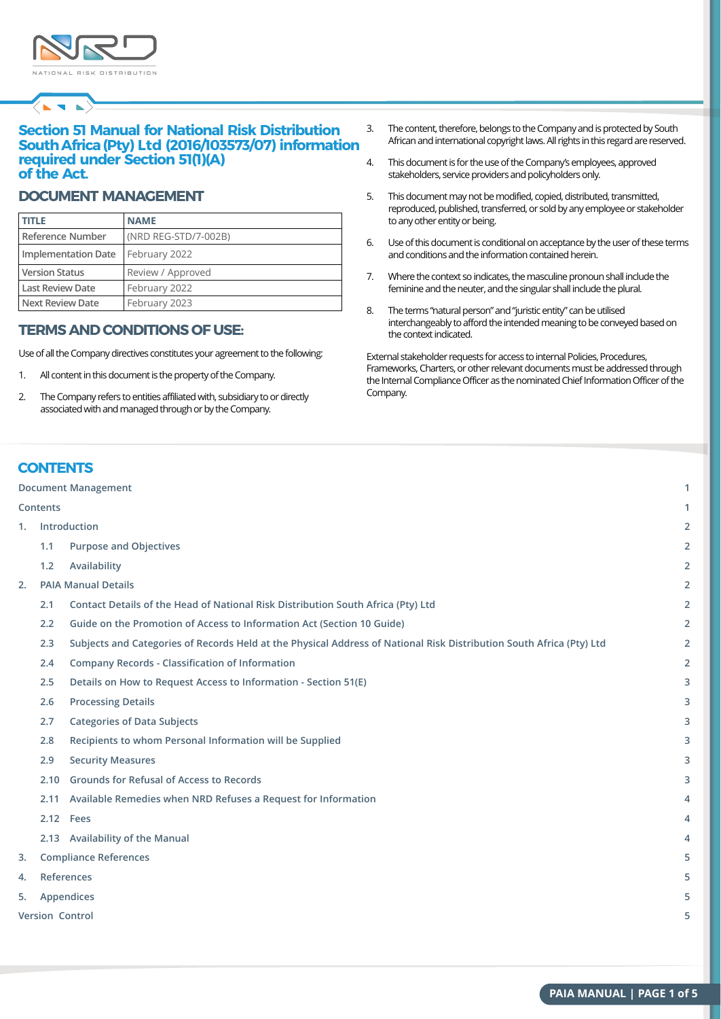

 $\left\langle \mathbf{r} \right\rangle$ 

## **Section 51 Manual for National Risk Distribution SouthAfrica(Pty) Ltd (2016/103573/07) information required under Section 51(1)(A) of the Act.**

#### **DOCUMENT MANAGEMENT**

| <b>TITLE</b>            | <b>NAME</b>          |
|-------------------------|----------------------|
| Reference Number        | (NRD REG-STD/7-002B) |
| Implementation Date     | February 2022        |
| <b>Version Status</b>   | Review / Approved    |
| <b>Last Review Date</b> | February 2022        |
| Next Review Date        | February 2023        |

## **TERMSANDCONDITIONS OF USE:**

Use of all the Company directives constitutes your agreement to the following:

- 1. All content in this document is the property of the Company.
- 2. The Company refers to entities affiliated with, subsidiary to or directly associated with and managed through or by the Company.
- 3. The content, therefore, belongs to the Company and is protected by South African and international copyright laws. All rights in this regard are reserved.
- 4. This document is for the use of the Company's employees, approved stakeholders, service providers and policyholders only.
- 5. This document may not be modified, copied, distributed, transmitted, reproduced, published, transferred, or sold by any employee or stakeholder to any other entity or being.
- 6. Use of this document is conditional on acceptance by the user of these terms and conditions and the information contained herein.
- 7. Where the context so indicates, the masculine pronoun shall include the feminine and the neuter, and the singular shall include the plural.
- 8. The terms "natural person" and "juristic entity" can be utilised interchangeably to afford the intended meaning to be conveyed based on the context indicated.

External stakeholder requests for access to internal Policies, Procedures, Frameworks, Charters, or other relevant documents must be addressed through the Internal Compliance Officer as the nominated Chief Information Officer of the Company.

## **CONTENTS**

**Contents**

#### **Document Management**

# **1. Introduction 1.1 Purpose and Objectives 1.2 Availability 2. PAIA Manual Details 2.1 Contact Details of the Head of National Risk Distribution South Africa (Pty) Ltd 2.2 Guide on the Promotion of Access to Information Act (Section 10 Guide) 2.3 Subjects and Categories of Records Held at the Physical Address of National Risk Distribution South Africa (Pty) Ltd 2.4 Company Records - Classification of Information 2.5 Details on How to Request Access to Information - Section 51(E) 2.6 Processing Details 2.7 Categories of Data Subjects 2.8 Recipients to whom Personal Information will be Supplied 2.9 Security Measures 2.10 Grounds for Refusal of Access to Records 2.11 Available Remedies when NRD Refuses a Request for Information 2.12 Fees 2.13 Availability of the Manual 3. Compliance References 4. References**

- **5. Appendices**
- **Version Control**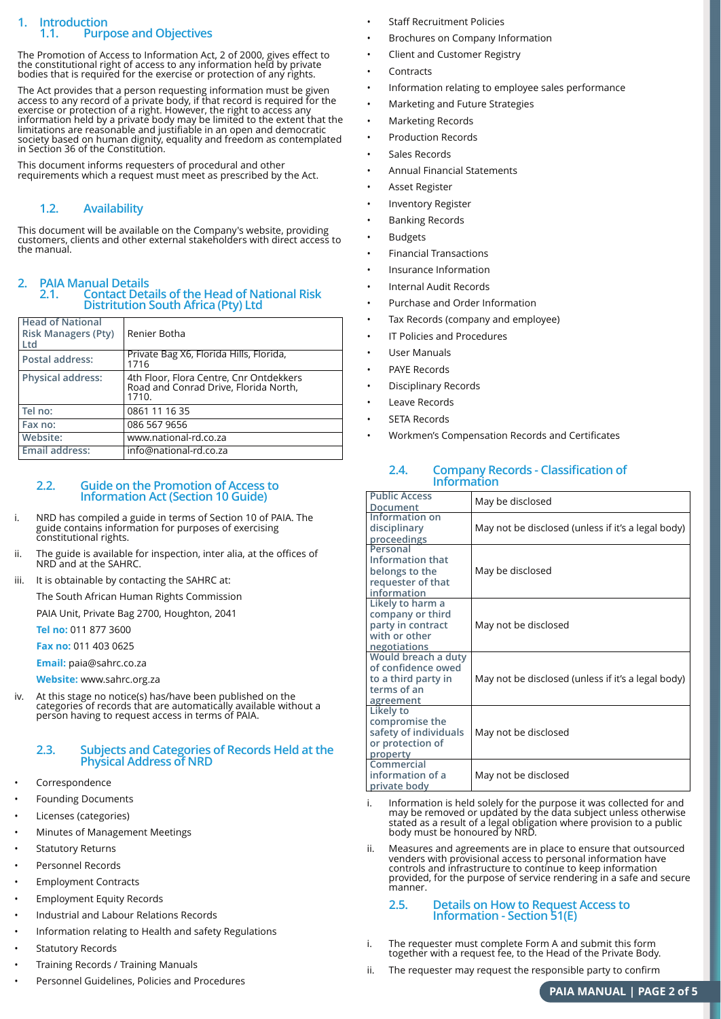#### **1. Introduction 1.1. Purpose and Objectives**

The Promotion of Access to Information Act, 2 of 2000, gives effect to the constitutional right of access to any information held by private bodies that is required for the exercise or protection of any rights.

The Act provides that a person requesting information must be given access to any record of a private body, if that record is required for the exercise or protection of a right. However, the right to access any information held by a private body may be limited to the extent that the limitations are reasonable and justifiable in an open and democratic society based on human dignity, equality and freedom as contemplated in Section 36 of the Constitution.

This document informs requesters of procedural and other requirements which a request must meet as prescribed by the Act.

## **1.2. Availability**

This document will be available on the Company's website, providing customers, clients and other external stakeholders with direct access to the manual.

# **2. PAIA Manual Details**

#### **2.1. Contact Details of the Head of National Risk Distritution South Africa (Pty) Ltd**

| <b>Head of National</b><br><b>Risk Managers (Pty)</b><br>Ltd | Renier Botha                                                                              |
|--------------------------------------------------------------|-------------------------------------------------------------------------------------------|
| Postal address:                                              | Private Bag X6, Florida Hills, Florida,<br>1716                                           |
| <b>Physical address:</b>                                     | 4th Floor, Flora Centre, Cnr Ontdekkers<br>Road and Conrad Drive, Florida North,<br>1710. |
| Tel no:                                                      | 0861 11 16 35                                                                             |
| Fax no:                                                      | 086 567 9656                                                                              |
| Website:                                                     | www.national-rd.co.za                                                                     |
| Email address:                                               | info@national-rd.co.za                                                                    |

#### **2.2. Guide on the Promotion of Access to Information Act (Section 10 Guide)**

i. NRD has compiled a guide in terms of Section 10 of PAIA. The guide contains information for purposes of exercising constitutional rights.

ii. The guide is available for inspection, inter alia, at the offices of NRD and at the SAHRC.

iii. It is obtainable by contacting the SAHRC at:

The South African Human Rights Commission

PAIA Unit, Private Bag 2700, Houghton, 2041

**Tel no:** 011 877 3600

**Fax no:** 011 403 0625

**Email:** paia@sahrc.co.za

**Website:** www.sahrc.org.za

iv. At this stage no notice(s) has/have been published on the categories of records that are automatically available without a person having to request access in terms of PAIA.

#### **2.3. Subjects and Categories of Records Held at the Physical Address of NRD**

- **Correspondence**
- Founding Documents
- Licenses (categories)
- Minutes of Management Meetings
- **Statutory Returns**
- Personnel Records
- Employment Contracts
- Employment Equity Records
- Industrial and Labour Relations Records
- Information relating to Health and safety Regulations
- **Statutory Records**
- Training Records / Training Manuals
- Personnel Guidelines, Policies and Procedures
- Staff Recruitment Policies
- Brochures on Company Information
- Client and Customer Registry
- **Contracts**
- Information relating to employee sales performance
- Marketing and Future Strategies
- Marketing Records
- Production Records
- Sales Records
- Annual Financial Statements
- Asset Register
- Inventory Register
- Banking Records
- **Budgets**
- Financial Transactions
- Insurance Information
- Internal Audit Records
- Purchase and Order Information
- Tax Records (company and employee)
- **IT Policies and Procedures**
- User Manuals
- PAYE Records
- Disciplinary Records
- Leave Records
- SETA Records
- Workmen's Compensation Records and Certificates

#### **2.4. Company Records - Classification of Information**

| <b>Public Access</b><br>Document                                                             | May be disclosed                                   |
|----------------------------------------------------------------------------------------------|----------------------------------------------------|
| Information on<br>disciplinary<br>proceedings                                                | May not be disclosed (unless if it's a legal body) |
| Personal<br>Information that<br>belongs to the<br>requester of that<br>information           | May be disclosed                                   |
| Likely to harm a<br>company or third<br>party in contract<br>with or other<br>negotiations   | May not be disclosed                               |
| Would breach a duty<br>of confidence owed<br>to a third party in<br>terms of an<br>agreement | May not be disclosed (unless if it's a legal body) |
| Likely to<br>compromise the<br>safety of individuals<br>or protection of<br>property         | May not be disclosed                               |
| Commercial<br>information of a<br>private body                                               | May not be disclosed                               |

- i. Information is held solely for the purpose it was collected for and may be removed or updated by the data subject unless otherwise stated as a result of a legal obligation where provision to a public body must be honoured by NRD.
- ii. Measures and agreements are in place to ensure that outsourced venders with provisional access to personal information have controls and infrastructure to continue to keep information provided, for the purpose of service rendering in a safe and secure manner.

#### **2.5. Details on How to Request Access to Information - Section 51(E)**

- i. The requester must complete Form A and submit this form together with a request fee, to the Head of the Private Body.
- ii. The requester may request the responsible party to confirm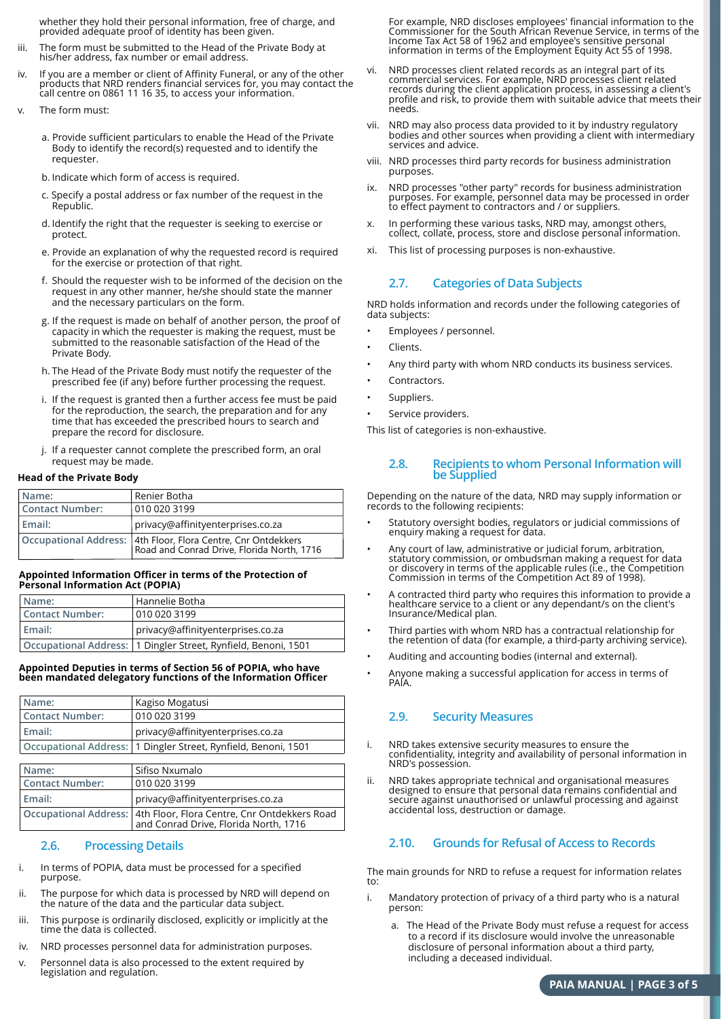whether they hold their personal information, free of charge, and provided adequate proof of identity has been given.

- iii. The form must be submitted to the Head of the Private Body at his/her address, fax number or email address.
- iv. If you are a member or client of Affinity Funeral, or any of the other products that NRD renders financial services for, you may contact the call centre on 0861 11 16 35, to access your information.
- v. The form must:
	- a. Provide sufficient particulars to enable the Head of the Private Body to identify the record(s) requested and to identify the requester.
	- b. Indicate which form of access is required.
	- c. Specify a postal address or fax number of the request in the Republic.
	- d. Identify the right that the requester is seeking to exercise or protect.
	- e. Provide an explanation of why the requested record is required for the exercise or protection of that right.
	- f. Should the requester wish to be informed of the decision on the request in any other manner, he/she should state the manner and the necessary particulars on the form.
	- g. If the request is made on behalf of another person, the proof of capacity in which the requester is making the request, must be submitted to the reasonable satisfaction of the Head of the Private Body.
	- h. The Head of the Private Body must notify the requester of the prescribed fee (if any) before further processing the request.
	- i. If the request is granted then a further access fee must be paid for the reproduction, the search, the preparation and for any time that has exceeded the prescribed hours to search and prepare the record for disclosure.
	- j. If a requester cannot complete the prescribed form, an oral request may be made.

#### **Head of the Private Body**

| Name:           | Renier Botha                                                                                                |  |
|-----------------|-------------------------------------------------------------------------------------------------------------|--|
| Contact Number: | 010 020 3199                                                                                                |  |
| l Email:        | privacy@affinityenterprises.co.za                                                                           |  |
|                 | Occupational Address: 4th Floor, Flora Centre, Cnr Ontdekkers<br>Road and Conrad Drive, Florida North, 1716 |  |

#### **Appointed Information Officer in terms of the Protection of Personal Information Act (POPIA)**

| Name:           | l Hannelie Botha                                                 |  |
|-----------------|------------------------------------------------------------------|--|
| Contact Number: | 010 020 3199                                                     |  |
| l Email:        | privacy@affinityenterprises.co.za                                |  |
|                 | Occupational Address:   1 Dingler Street, Rynfield, Benoni, 1501 |  |

#### **Appointed Deputies in terms of Section 56 of POPIA, who have been mandated delegatory functions of the Information Officer**

| Name:           | Kagiso Mogatusi                                                  |
|-----------------|------------------------------------------------------------------|
| Contact Number: | 010 020 3199                                                     |
| l Email:        | privacy@affinityenterprises.co.za                                |
|                 | Occupational Address:   1 Dingler Street, Rynfield, Benoni, 1501 |

| Name:                  | Sifiso Nxumalo                                                                                                |
|------------------------|---------------------------------------------------------------------------------------------------------------|
| <b>Contact Number:</b> | 010 020 3199                                                                                                  |
| Email:                 | privacy@affinityenterprises.co.za                                                                             |
|                        | Occupational Address:   4th Floor, Flora Centre, Cnr Ontdekkers Road<br>and Conrad Drive, Florida North, 1716 |

#### **2.6. Processing Details**

- i. In terms of POPIA, data must be processed for a specified purpose.
- ii. The purpose for which data is processed by NRD will depend on the nature of the data and the particular data subject.
- iii. This purpose is ordinarily disclosed, explicitly or implicitly at the time the data is collected.
- iv. NRD processes personnel data for administration purposes.
- v. Personnel data is also processed to the extent required by legislation and regulation.

For example, NRD discloses employees' financial information to the Commissioner for the South African Revenue Service, in terms of the Income Tax Act 58 of 1962 and employee's sensitive personal information in terms of the Employment Equity Act 55 of 1998.

- vi. NRD processes client related records as an integral part of its commercial services. For example, NRD processes client related records during the client application process, in assessing a client's profile and risk, to provide them with suitable advice that meets their needs.
- vii. NRD may also process data provided to it by industry regulatory bodies and other sources when providing a client with intermediary services and advice.
- viii. NRD processes third party records for business administration purposes.
- ix. NRD processes "other party" records for business administration purposes. For example, personnel data may be processed in order to effect payment to contractors and / or suppliers.
- x. In performing these various tasks, NRD may, amongst others, collect, collate, process, store and disclose personal information.
- xi. This list of processing purposes is non-exhaustive.

#### **2.7. Categories of Data Subjects**

NRD holds information and records under the following categories of data subjects:

- Employees / personnel.
- Clients.
- Any third party with whom NRD conducts its business services.
- Contractors.
- Suppliers.
- Service providers.

This list of categories is non-exhaustive.

#### **2.8. Recipients to whom Personal Information will be Supplied**

Depending on the nature of the data, NRD may supply information or records to the following recipients:

- Statutory oversight bodies, regulators or judicial commissions of enquiry making a request for data.
- Any court of law, administrative or judicial forum, arbitration, statutory commission, or ombudsman making a request for data or discovery in terms of the applicable rules (i.e., the Competition Commission in terms of the Competition Act 89 of 1998).
- A contracted third party who requires this information to provide a healthcare service to a client or any dependant/s on the client's Insurance/Medical plan.
- Third parties with whom NRD has a contractual relationship for the retention of data (for example, a third-party archiving service).
- Auditing and accounting bodies (internal and external).
	- Anyone making a successful application for access in terms of PAIA.

#### **2.9. Security Measures**

- i. NRD takes extensive security measures to ensure the confidentiality, integrity and availability of personal information in NRD's possession.
- ii. NRD takes appropriate technical and organisational measures designed to ensure that personal data remains confidential and secure against unauthorised or unlawful processing and against accidental loss, destruction or damage.

#### **2.10. Grounds for Refusal of Access to Records**

The main grounds for NRD to refuse a request for information relates to:

- i. Mandatory protection of privacy of a third party who is a natural person:
	- a. The Head of the Private Body must refuse a request for access to a record if its disclosure would involve the unreasonable disclosure of personal information about a third party, including a deceased individual.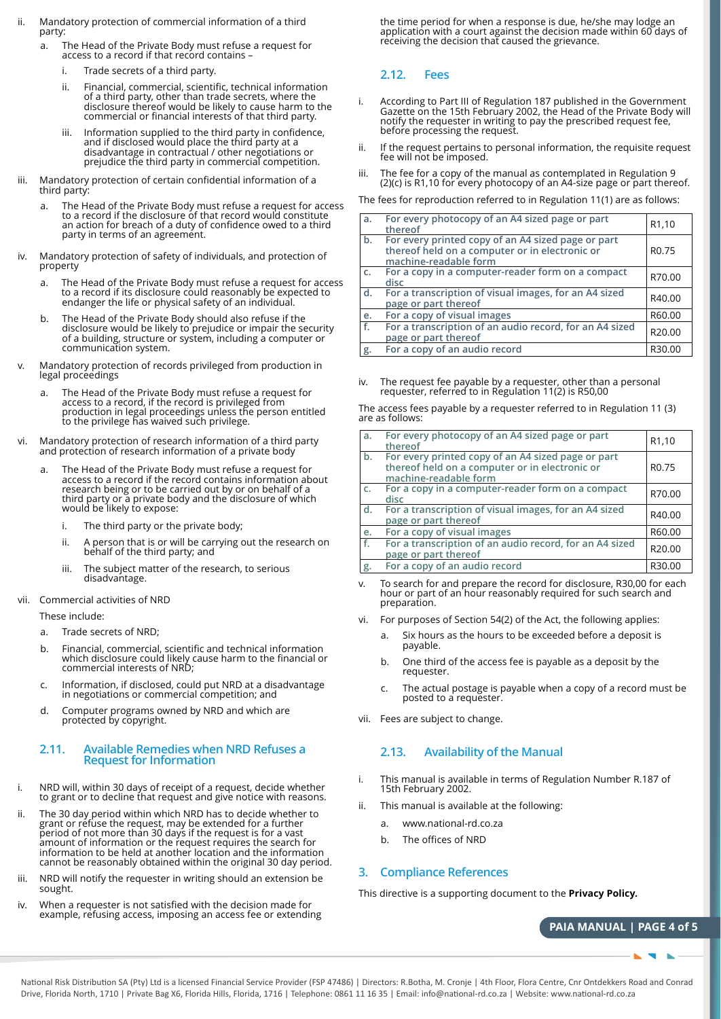- ii. Mandatory protection of commercial information of a third party:
	- a. The Head of the Private Body must refuse a request for access to a record if that record contains –
		- i. Trade secrets of a third party
		- ii. Financial, commercial, scientific, technical information of a third party, other than trade secrets, where the disclosure thereof would be likely to cause harm to the commercial or financial interests of that third party.
		- iii. Information supplied to the third party in confidence, and if disclosed would place the third party at a disadvantage in contractual / other negotiations or prejudice the third party in commercial competition.
- iii. Mandatory protection of certain confidential information of a third party:
	- a. The Head of the Private Body must refuse a request for access to a record if the disclosure of that record would constitute an action for breach of a duty of confidence owed to a third party in terms of an agreement.
- iv. Mandatory protection of safety of individuals, and protection of property
	- a. The Head of the Private Body must refuse a request for access to a record if its disclosure could reasonably be expected to endanger the life or physical safety of an individual.
	- b. The Head of the Private Body should also refuse if the disclosure would be likely to prejudice or impair the security of a building, structure or system, including a computer or communication system.
- Mandatory protection of records privileged from production in legal proceedings
	- The Head of the Private Body must refuse a request for access to a record, if the record is privileged from production in legal proceedings unless the person entitled to the privilege has waived such privilege.
- Mandatory protection of research information of a third party and protection of research information of a private body
	- a. The Head of the Private Body must refuse a request for access to a record if the record contains information about research being or to be carried out by or on behalf of a third party or a private body and the disclosure of which would be likely to expose:
		- i. The third party or the private body;
		- ii. A person that is or will be carrying out the research on behalf of the third party; and
		- iii. The subject matter of the research, to serious disadvantage.
- vii. Commercial activities of NRD

These include:

- a. Trade secrets of NRD;
- b. Financial, commercial, scientific and technical information which disclosure could likely cause harm to the financial or commercial interests of NRD;
- c. Information, if disclosed, could put NRD at a disadvantage in negotiations or commercial competition; and
- d. Computer programs owned by NRD and which are protected by copyright.

#### **2.11. Available Remedies when NRD Refuses a Request for Information**

- i. NRD will, within 30 days of receipt of a request, decide whether to grant or to decline that request and give notice with reasons.
- ii. The 30 day period within which NRD has to decide whether to grant or refuse the request, may be extended for a further period of not more than 30 days if the request is for a vast amount of information or the request requires the search for information to be held at another location and the information cannot be reasonably obtained within the original 30 day period.
- NRD will notify the requester in writing should an extension be sought.
- iv. When a requester is not satisfied with the decision made for example, refusing access, imposing an access fee or extending

the time period for when a response is due, he/she may lodge an application with a court against the decision made within 60 days of receiving the decision that caused the grievance.

## **2.12. Fees**

- i. According to Part III of Regulation 187 published in the Government Gazette on the 15th February 2002, the Head of the Private Body will notify the requester in writing to pay the prescribed request fee, before processing the request.
- ii. If the request pertains to personal information, the requisite request fee will not be imposed.
- iii. The fee for a copy of the manual as contemplated in Regulation 9 (2)(c) is R1,10 for every photocopy of an A4-size page or part thereof.

The fees for reproduction referred to in Regulation 11(1) are as follows:

| a. | For every photocopy of an A4 sized page or part<br>thereof                                                                    | R <sub>1</sub> ,10 |
|----|-------------------------------------------------------------------------------------------------------------------------------|--------------------|
| b. | For every printed copy of an A4 sized page or part<br>thereof held on a computer or in electronic or<br>machine-readable form | R <sub>0.75</sub>  |
| c. | For a copy in a computer-reader form on a compact<br>disc                                                                     | R70.00             |
| d. | For a transcription of visual images, for an A4 sized<br>page or part thereof                                                 | R40.00             |
| e. | For a copy of visual images                                                                                                   | R60.00             |
| f. | For a transcription of an audio record, for an A4 sized<br>page or part thereof                                               | R20.00             |
| g. | For a copy of an audio record                                                                                                 | R30.00             |

The request fee payable by a requester, other than a personal requester, referred to in Regulation 11(2) is R50,00

The access fees payable by a requester referred to in Regulation 11 (3) are as follows:

| a. | For every photocopy of an A4 sized page or part<br>thereof                                                                    | R <sub>1</sub> ,10 |
|----|-------------------------------------------------------------------------------------------------------------------------------|--------------------|
| b. | For every printed copy of an A4 sized page or part<br>thereof held on a computer or in electronic or<br>machine-readable form | R <sub>0.75</sub>  |
| c. | For a copy in a computer-reader form on a compact<br>disc                                                                     | R70.00             |
| d. | For a transcription of visual images, for an A4 sized<br>page or part thereof                                                 | R40.00             |
| e. | For a copy of visual images                                                                                                   | R60.00             |
| f. | For a transcription of an audio record, for an A4 sized<br>page or part thereof                                               | R20.00             |
| g. | For a copy of an audio record                                                                                                 | R30.00             |

- To search for and prepare the record for disclosure, R30,00 for each hour or part of an hour reasonably required for such search and preparation.
- vi. For purposes of Section 54(2) of the Act, the following applies:
	- a. Six hours as the hours to be exceeded before a deposit is payable.
	- b. One third of the access fee is payable as a deposit by the requester.
	- c. The actual postage is payable when a copy of a record must be posted to a requester.
- vii. Fees are subject to change.

## **2.13. Availability of the Manual**

- i. This manual is available in terms of Regulation Number R.187 of 15th February 2002.
- ii. This manual is available at the following:
	- a. www.national-rd.co.za
	- b. The offices of NRD

## **3. Compliance References**

This directive is a supporting document to the **Privacy Policy.**

**PAIA MANUAL | PAGE 4 of 5**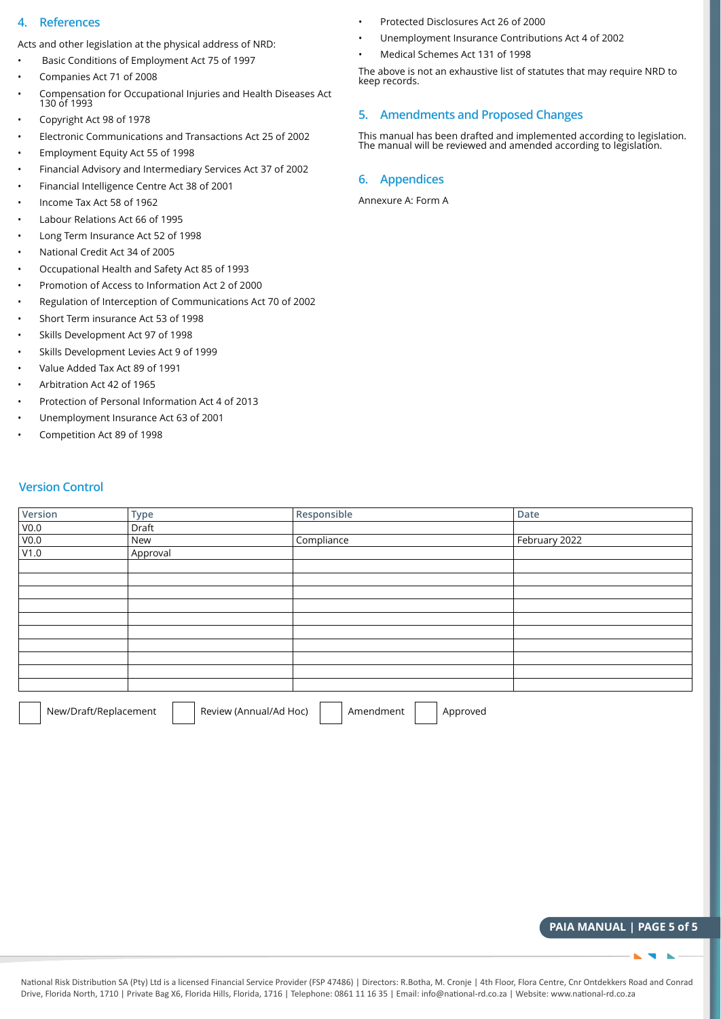#### **4. References**

Acts and other legislation at the physical address of NRD:

- Basic Conditions of Employment Act 75 of 1997
- Companies Act 71 of 2008
- Compensation for Occupational Injuries and Health Diseases Act 130 of 1993
- Copyright Act 98 of 1978
- Electronic Communications and Transactions Act 25 of 2002
- Employment Equity Act 55 of 1998
- Financial Advisory and Intermediary Services Act 37 of 2002
- Financial Intelligence Centre Act 38 of 2001
- Income Tax Act 58 of 1962
- Labour Relations Act 66 of 1995
- Long Term Insurance Act 52 of 1998
- National Credit Act 34 of 2005
- Occupational Health and Safety Act 85 of 1993
- Promotion of Access to Information Act 2 of 2000
- Regulation of Interception of Communications Act 70 of 2002
- Short Term insurance Act 53 of 1998
- Skills Development Act 97 of 1998
- Skills Development Levies Act 9 of 1999
- Value Added Tax Act 89 of 1991
- Arbitration Act 42 of 1965
- Protection of Personal Information Act 4 of 2013
- Unemployment Insurance Act 63 of 2001
- Competition Act 89 of 1998
- Protected Disclosures Act 26 of 2000
- Unemployment Insurance Contributions Act 4 of 2002
- Medical Schemes Act 131 of 1998

The above is not an exhaustive list of statutes that may require NRD to keep records.

#### **5. Amendments and Proposed Changes**

This manual has been drafted and implemented according to legislation. The manual will be reviewed and amended according to legislation.

#### **6. Appendices**

Annexure A: Form A

#### **Version Control**

| Version             | Type     | Responsible | Date          |
|---------------------|----------|-------------|---------------|
| $\frac{V0.0}{V0.0}$ | Draft    |             |               |
|                     | New      | Compliance  | February 2022 |
| V1.0                | Approval |             |               |
|                     |          |             |               |
|                     |          |             |               |
|                     |          |             |               |
|                     |          |             |               |
|                     |          |             |               |
|                     |          |             |               |
|                     |          |             |               |
|                     |          |             |               |
|                     |          |             |               |
|                     |          |             |               |

New/Draft/Replacement | | Review (Annual/Ad Hoc) | | Amendment | | Approved

**PAIA MANUAL | PAGE 5 of 5**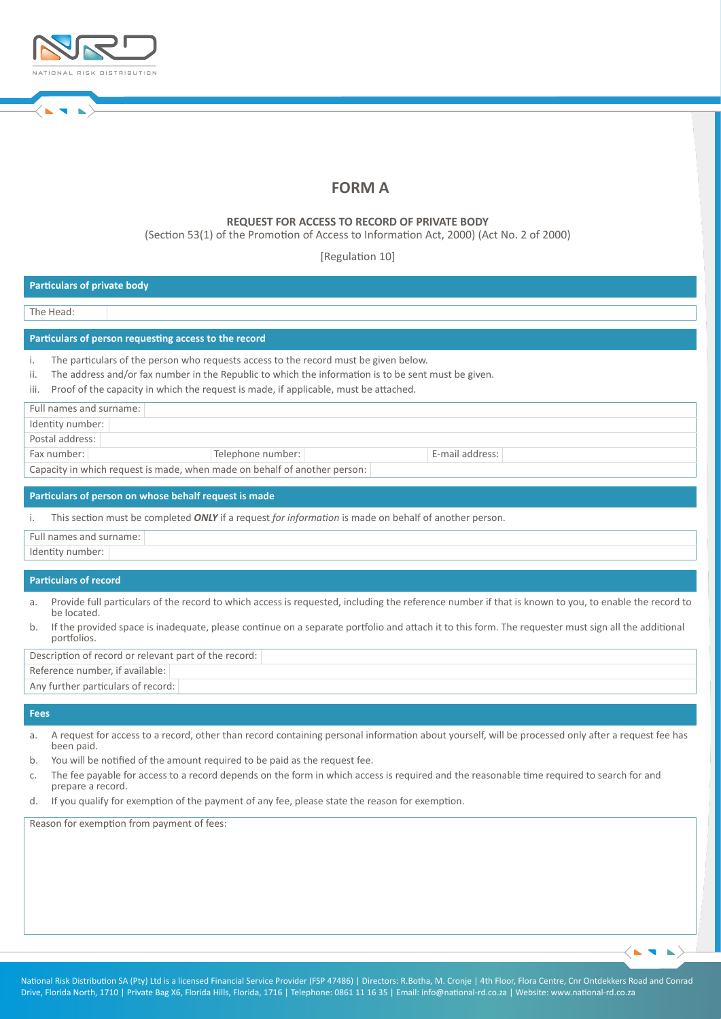

# **FORM A**

#### **REQUEST FOR ACCESS TO RECORD OF PRIVATE BODY**

(Section 53(1) of the Promotion of Access to Information Act, 2000) (Act No. 2 of 2000)

[Regulation 10]

| <b>Particulars of private body</b>                                                                                                                                                                                                                                                                       |
|----------------------------------------------------------------------------------------------------------------------------------------------------------------------------------------------------------------------------------------------------------------------------------------------------------|
|                                                                                                                                                                                                                                                                                                          |
| The Head:                                                                                                                                                                                                                                                                                                |
| Particulars of person requesting access to the record                                                                                                                                                                                                                                                    |
| The particulars of the person who requests access to the record must be given below.<br>i.<br>The address and/or fax number in the Republic to which the information is to be sent must be given.<br>ii.<br>Proof of the capacity in which the request is made, if applicable, must be attached.<br>iii. |
| Full names and surname:                                                                                                                                                                                                                                                                                  |
| Identity number:                                                                                                                                                                                                                                                                                         |
| Postal address:                                                                                                                                                                                                                                                                                          |
| Fax number:<br>Telephone number:<br>E-mail address:                                                                                                                                                                                                                                                      |
| Capacity in which request is made, when made on behalf of another person:                                                                                                                                                                                                                                |
|                                                                                                                                                                                                                                                                                                          |
| Particulars of person on whose behalf request is made                                                                                                                                                                                                                                                    |
| This section must be completed ONLY if a request for information is made on behalf of another person.<br>i.                                                                                                                                                                                              |
| Full names and surname:                                                                                                                                                                                                                                                                                  |
| Identity number:                                                                                                                                                                                                                                                                                         |
|                                                                                                                                                                                                                                                                                                          |
| <b>Particulars of record</b>                                                                                                                                                                                                                                                                             |
| Provide full particulars of the record to which access is requested, including the reference number if that is known to you, to enable the record to<br>a.<br>be located.                                                                                                                                |
| If the provided space is inadequate, please continue on a separate portfolio and attach it to this form. The requester must sign all the additional<br>b.<br>portfolios.                                                                                                                                 |
| Description of record or relevant part of the record:                                                                                                                                                                                                                                                    |
| Reference number, if available:                                                                                                                                                                                                                                                                          |
| Any further particulars of record:                                                                                                                                                                                                                                                                       |
|                                                                                                                                                                                                                                                                                                          |

#### **Fees**

- a. A request for access to a record, other than record containing personal information about yourself, will be processed only after a request fee has been paid.
- b. You will be notified of the amount required to be paid as the request fee.
- c. The fee payable for access to a record depends on the form in which access is required and the reasonable time required to search for and prepare a record.
- d. If you qualify for exemption of the payment of any fee, please state the reason for exemption.

Reason for exemption from payment of fees: